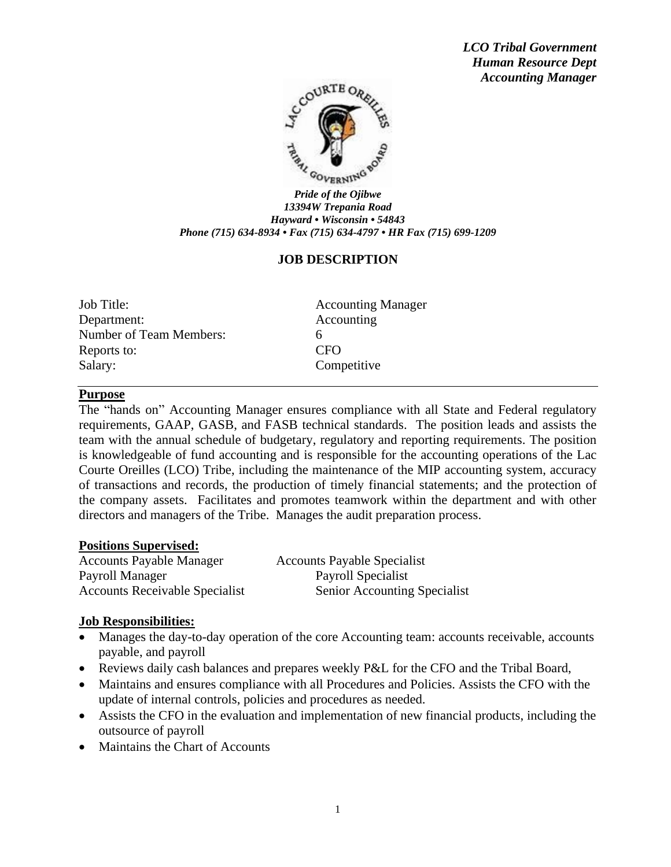*LCO Tribal Government Human Resource Dept Accounting Manager*



*13394W Trepania Road Hayward • Wisconsin • 54843 Phone (715) 634-8934 • Fax (715) 634-4797 • HR Fax (715) 699-1209*

# **JOB DESCRIPTION**

Job Title: Accounting Manager Department: Accounting Number of Team Members: 6 Reports to: CFO Salary: Competitive

#### **Purpose**

The "hands on" Accounting Manager ensures compliance with all State and Federal regulatory requirements, GAAP, GASB, and FASB technical standards. The position leads and assists the team with the annual schedule of budgetary, regulatory and reporting requirements. The position is knowledgeable of fund accounting and is responsible for the accounting operations of the Lac Courte Oreilles (LCO) Tribe, including the maintenance of the MIP accounting system, accuracy of transactions and records, the production of timely financial statements; and the protection of the company assets. Facilitates and promotes teamwork within the department and with other directors and managers of the Tribe. Manages the audit preparation process.

#### **Positions Supervised:**

Accounts Payable Manager Accounts Payable Specialist Payroll Manager Payroll Specialist Accounts Receivable Specialist Senior Accounting Specialist

#### **Job Responsibilities:**

- Manages the day-to-day operation of the core Accounting team: accounts receivable, accounts payable, and payroll
- Reviews daily cash balances and prepares weekly P&L for the CFO and the Tribal Board,
- Maintains and ensures compliance with all Procedures and Policies. Assists the CFO with the update of internal controls, policies and procedures as needed.
- Assists the CFO in the evaluation and implementation of new financial products, including the outsource of payroll
- Maintains the Chart of Accounts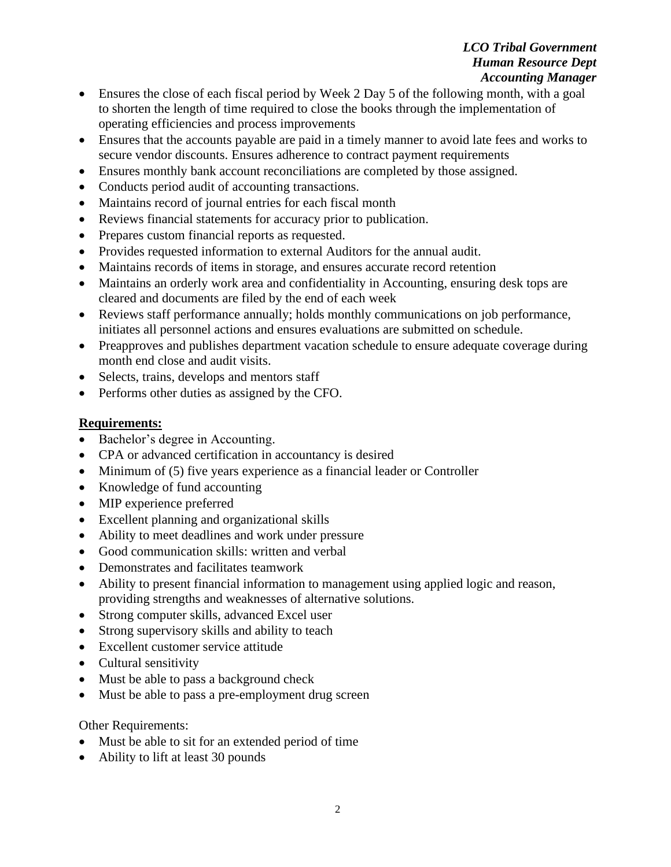# *LCO Tribal Government Human Resource Dept Accounting Manager*

- Ensures the close of each fiscal period by Week 2 Day 5 of the following month, with a goal to shorten the length of time required to close the books through the implementation of operating efficiencies and process improvements
- Ensures that the accounts payable are paid in a timely manner to avoid late fees and works to secure vendor discounts. Ensures adherence to contract payment requirements
- Ensures monthly bank account reconciliations are completed by those assigned.
- Conducts period audit of accounting transactions.
- Maintains record of journal entries for each fiscal month
- Reviews financial statements for accuracy prior to publication.
- Prepares custom financial reports as requested.
- Provides requested information to external Auditors for the annual audit.
- Maintains records of items in storage, and ensures accurate record retention
- Maintains an orderly work area and confidentiality in Accounting, ensuring desk tops are cleared and documents are filed by the end of each week
- Reviews staff performance annually; holds monthly communications on job performance, initiates all personnel actions and ensures evaluations are submitted on schedule.
- Preapproves and publishes department vacation schedule to ensure adequate coverage during month end close and audit visits.
- Selects, trains, develops and mentors staff
- Performs other duties as assigned by the CFO.

# **Requirements:**

- Bachelor's degree in Accounting.
- CPA or advanced certification in accountancy is desired
- Minimum of (5) five years experience as a financial leader or Controller
- Knowledge of fund accounting
- MIP experience preferred
- Excellent planning and organizational skills
- Ability to meet deadlines and work under pressure
- Good communication skills: written and verbal
- Demonstrates and facilitates teamwork
- Ability to present financial information to management using applied logic and reason, providing strengths and weaknesses of alternative solutions.
- Strong computer skills, advanced Excel user
- Strong supervisory skills and ability to teach
- Excellent customer service attitude
- Cultural sensitivity
- Must be able to pass a background check
- Must be able to pass a pre-employment drug screen

Other Requirements:

- Must be able to sit for an extended period of time
- Ability to lift at least 30 pounds